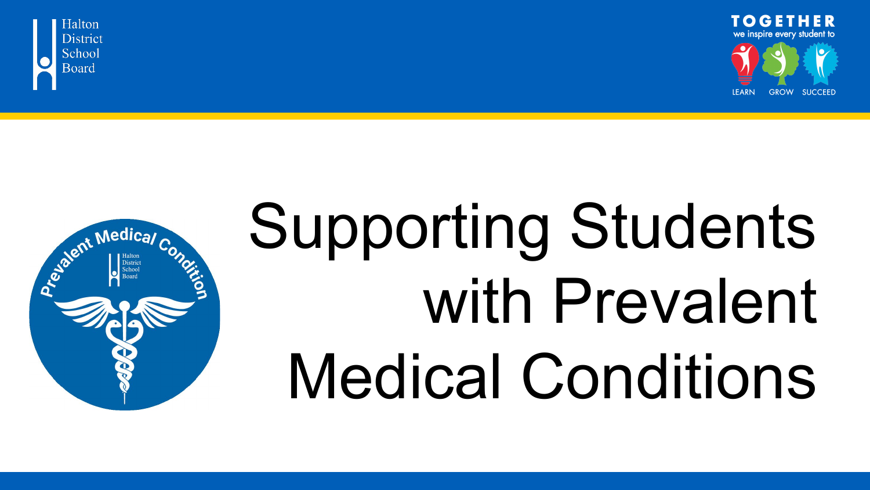



# Supporting Students with Prevalent Medical Conditions

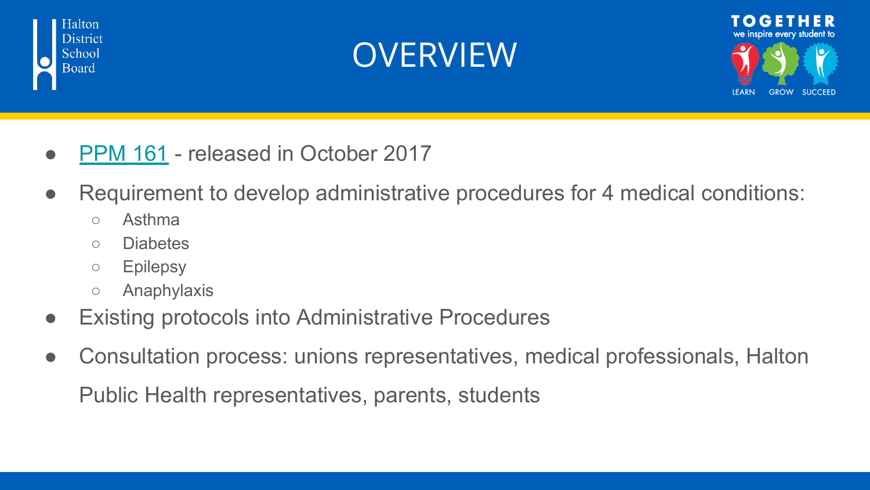





- [PPM 161](http://www.edu.gov.on.ca/eng/healthyschools/medicalconditions.html)  released in October 2017
- Requirement to develop administrative procedures for 4 medical conditions:
	- Asthma
	- Diabetes
	- Epilepsy
	- Anaphylaxis
- **Existing protocols into Administrative Procedures**
- Consultation process: unions representatives, medical professionals, Halton Public Health representatives, parents, students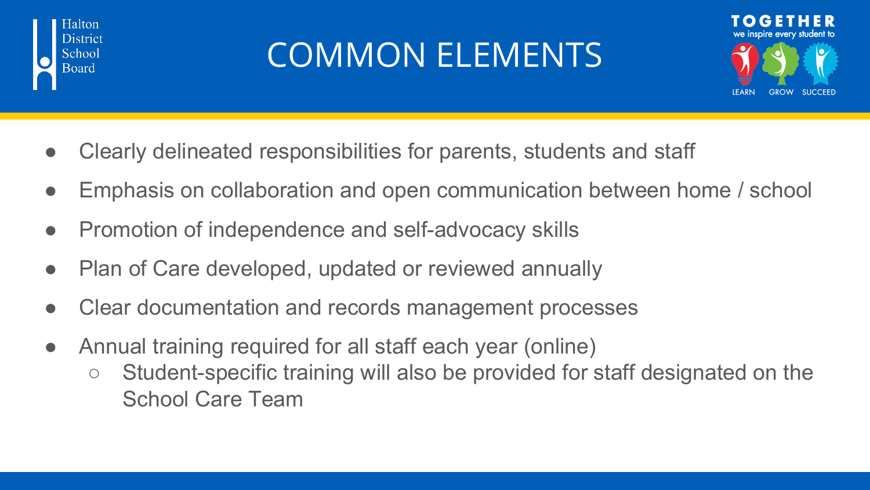

#### COMMON ELEMENTS



- Clearly delineated responsibilities for parents, students and staff
- Emphasis on collaboration and open communication between home / school
- Promotion of independence and self-advocacy skills
- Plan of Care developed, updated or reviewed annually
- Clear documentation and records management processes
- Annual training required for all staff each year (online)
	- Student-specific training will also be provided for staff designated on the School Care Team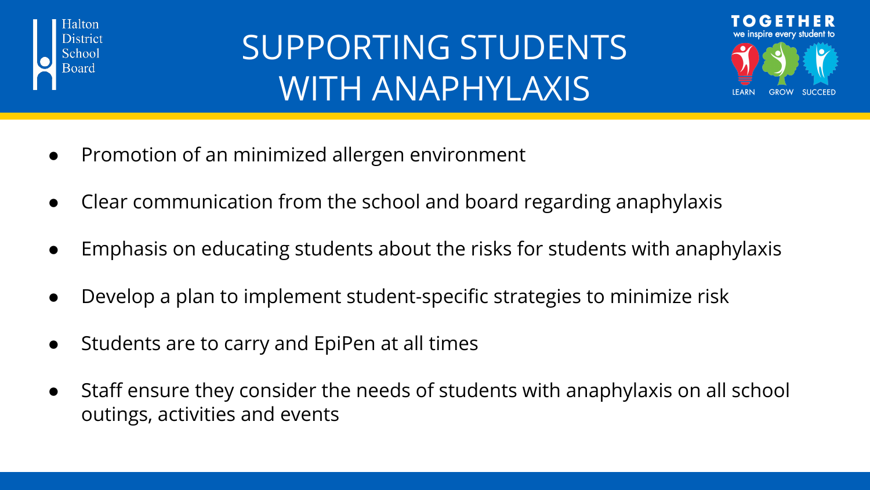

#### SUPPORTING STUDENTS WITH ANAPHYLAXIS



- Promotion of an minimized allergen environment
- Clear communication from the school and board regarding anaphylaxis
- Emphasis on educating students about the risks for students with anaphylaxis
- Develop a plan to implement student-specific strategies to minimize risk
- Students are to carry and EpiPen at all times
- Staff ensure they consider the needs of students with anaphylaxis on all school outings, activities and events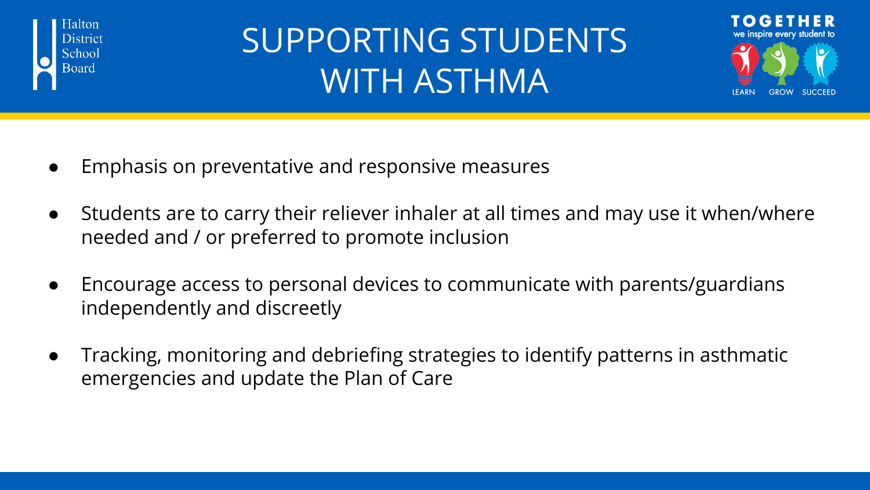

## SUPPORTING STUDENTS WITH ASTHMA



- Emphasis on preventative and responsive measures
- Students are to carry their reliever inhaler at all times and may use it when/where needed and / or preferred to promote inclusion
- Encourage access to personal devices to communicate with parents/guardians independently and discreetly
- Tracking, monitoring and debriefing strategies to identify patterns in asthmatic emergencies and update the Plan of Care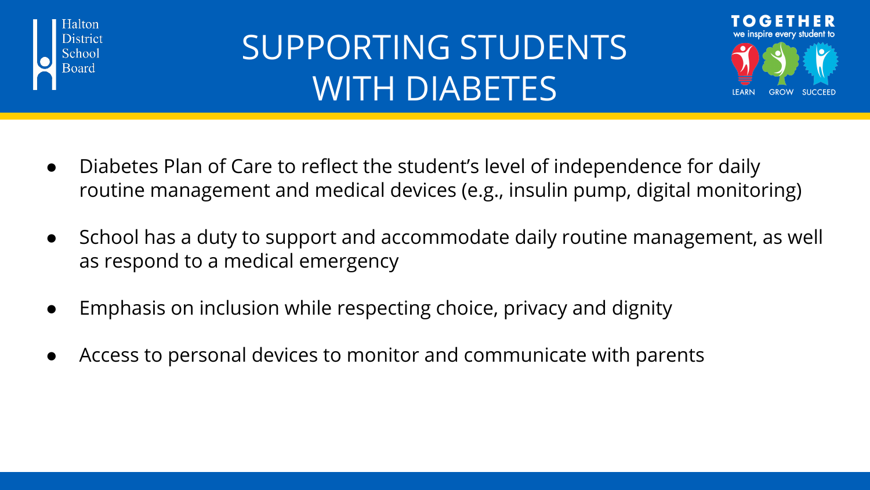

## SUPPORTING STUDENTS WITH DIABETES



- Diabetes Plan of Care to reflect the student's level of independence for daily routine management and medical devices (e.g., insulin pump, digital monitoring)
- School has a duty to support and accommodate daily routine management, as well as respond to a medical emergency
- Emphasis on inclusion while respecting choice, privacy and dignity
- Access to personal devices to monitor and communicate with parents